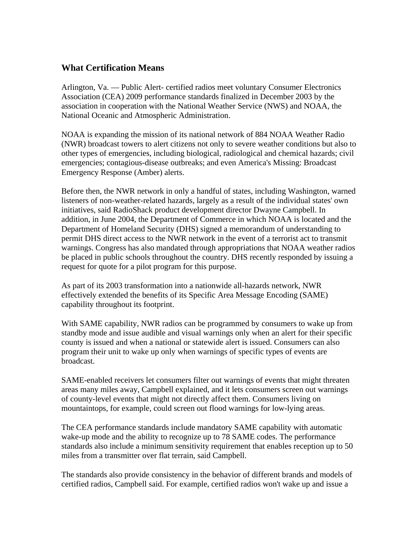## **What Certification Means**

Arlington, Va. — Public Alert- certified radios meet voluntary Consumer Electronics Association (CEA) 2009 performance standards finalized in December 2003 by the association in cooperation with the National Weather Service (NWS) and NOAA, the National Oceanic and Atmospheric Administration.

NOAA is expanding the mission of its national network of 884 NOAA Weather Radio (NWR) broadcast towers to alert citizens not only to severe weather conditions but also to other types of emergencies, including biological, radiological and chemical hazards; civil emergencies; contagious-disease outbreaks; and even America's Missing: Broadcast Emergency Response (Amber) alerts.

Before then, the NWR network in only a handful of states, including Washington, warned listeners of non-weather-related hazards, largely as a result of the individual states' own initiatives, said RadioShack product development director Dwayne Campbell. In addition, in June 2004, the Department of Commerce in which NOAA is located and the Department of Homeland Security (DHS) signed a memorandum of understanding to permit DHS direct access to the NWR network in the event of a terrorist act to transmit warnings. Congress has also mandated through appropriations that NOAA weather radios be placed in public schools throughout the country. DHS recently responded by issuing a request for quote for a pilot program for this purpose.

As part of its 2003 transformation into a nationwide all-hazards network, NWR effectively extended the benefits of its Specific Area Message Encoding (SAME) capability throughout its footprint.

With SAME capability, NWR radios can be programmed by consumers to wake up from standby mode and issue audible and visual warnings only when an alert for their specific county is issued and when a national or statewide alert is issued. Consumers can also program their unit to wake up only when warnings of specific types of events are broadcast.

SAME-enabled receivers let consumers filter out warnings of events that might threaten areas many miles away, Campbell explained, and it lets consumers screen out warnings of county-level events that might not directly affect them. Consumers living on mountaintops, for example, could screen out flood warnings for low-lying areas.

The CEA performance standards include mandatory SAME capability with automatic wake-up mode and the ability to recognize up to 78 SAME codes. The performance standards also include a minimum sensitivity requirement that enables reception up to 50 miles from a transmitter over flat terrain, said Campbell.

The standards also provide consistency in the behavior of different brands and models of certified radios, Campbell said. For example, certified radios won't wake up and issue a